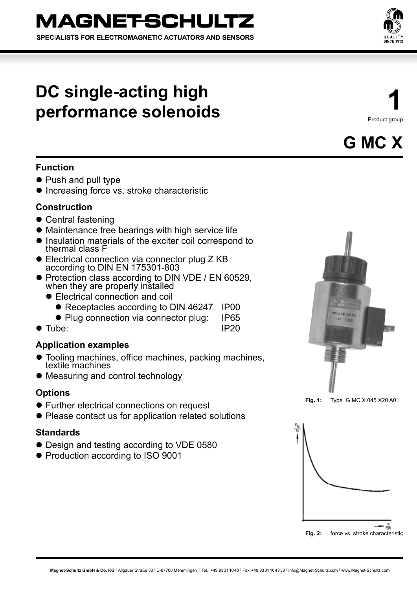# **MAGNETSCHULTZ**

SPECIALISTS FOR ELECTROMAGNETIC ACTUATORS AND SENSORS

## **DC single-acting high performance solenoids**

**1** Product group



## **Function**

- Push and pull type
- **Increasing force vs. stroke characteristic**

## **Construction**

- $\bullet$  Central fastening
- Maintenance free bearings with high service life
- **.** Insulation materials of the exciter coil correspond to thermal class F
- Electrical connection via connector plug Z KB according to DIN EN 175301-803
- Protection class according to DIN VDE / EN 60529, when they are properly installed
	- Electrical connection and coil
		- Receptacles according to DIN 46247 IP00
		- Plug connection via connector plug: IP65
- Tube: IP20

## **Application examples**

- Tooling machines, office machines, packing machines, textile machines
- Measuring and control technology

## **Options**

- Further electrical connections on request
- Please contact us for application related solutions

## **Standards**

- Design and testing according to VDE 0580
- Production according to ISO 9001





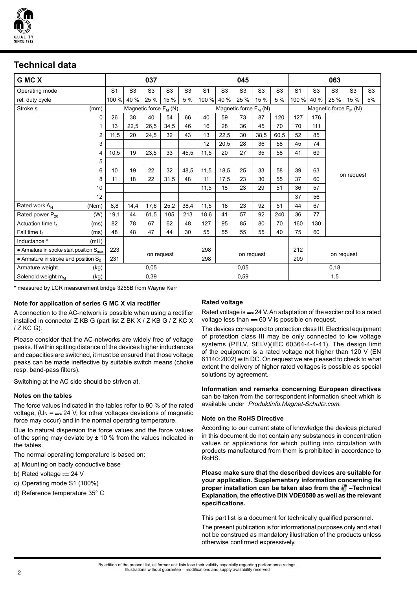

## **Technical data**

| G MC X                                               | 037            |                                   |                |                | 045            |                         |                |                |                | 063                     |                |                |                |                |                |  |
|------------------------------------------------------|----------------|-----------------------------------|----------------|----------------|----------------|-------------------------|----------------|----------------|----------------|-------------------------|----------------|----------------|----------------|----------------|----------------|--|
| Operating mode                                       | S <sub>1</sub> | S <sub>3</sub>                    | S <sub>3</sub> | S <sub>3</sub> | S <sub>3</sub> | S <sub>1</sub>          | S <sub>3</sub> | S <sub>3</sub> | S <sub>3</sub> | S <sub>3</sub>          | S <sub>1</sub> | S <sub>3</sub> | S <sub>3</sub> | S <sub>3</sub> | S <sub>3</sub> |  |
| rel. duty cycle                                      | 100 %          | 40 %                              | 25 %           | 15 %           | 5 %            | 100 %                   | 40 %           | 25 %           | 15 %           | 5 %                     | 100 %          | 40 %           | 25 %           | 15 %           | 5%             |  |
| Stroke <sub>s</sub><br>(mm)                          |                | Magnetic force F <sub>M</sub> (N) |                |                |                | Magnetic force $F_M(N)$ |                |                |                | Magnetic force $F_M(N)$ |                |                |                |                |                |  |
| 0                                                    | 26             | 38                                | 40             | 54             | 66             | 40                      | 59             | 73             | 87             | 120                     | 127            | 176            |                |                |                |  |
|                                                      | 13             | 22,5                              | 26,5           | 34,5           | 46             | 16                      | 28             | 36             | 45             | 70                      | 70             | 111            |                |                |                |  |
| 2                                                    | 11,5           | 20                                | 24,5           | 32             | 43             | 13                      | 22,5           | 30             | 38,5           | 60,5                    | 52             | 85             |                |                |                |  |
| 3                                                    |                |                                   |                |                |                | 12                      | 20,5           | 28             | 36             | 58                      | 45             | 74             |                |                |                |  |
| 4                                                    | 10,5           | 19                                | 23,5           | 33             | 45,5           | 11,5                    | 20             | 27             | 35             | 58                      | 41             | 69             |                |                |                |  |
| 5                                                    |                |                                   |                |                |                |                         |                |                |                |                         |                |                |                |                |                |  |
| 6                                                    | 10             | 19                                | 22             | 32             | 48,5           | 11,5                    | 18,5           | 25             | 33             | 58                      | 39             | 63             | on request     |                |                |  |
| 8                                                    | 11             | 18                                | 22             | 31,5           | 48             | 11                      | 17,5           | 23             | 30             | 55                      | 37             | 60             |                |                |                |  |
| 10                                                   |                |                                   |                |                |                | 11,5                    | 18             | 23             | 29             | 51                      | 36             | 57             |                |                |                |  |
| 12                                                   |                |                                   |                |                |                |                         |                |                |                |                         | 37             | 56             |                |                |                |  |
| Rated work A <sub>N</sub><br>(Ncm)                   | 8,8            | 14,4                              | 17,6           | 25,2           | 38,4           | 11,5                    | 18             | 23             | 92             | 51                      | 44             | 67             |                |                |                |  |
| Rated power $P_{20}$<br>(W)                          | 19,1           | 44                                | 61,5           | 105            | 213            | 18,6                    | 41             | 57             | 92             | 240                     | 36             | 77             |                |                |                |  |
| Actuation time $t_1$<br>(ms)                         | 82             | 78                                | 67             | 62             | 48             | 127                     | 95             | 85             | 80             | 70                      | 160            | 130            |                |                |                |  |
| Fall time $t_2$<br>(ms)                              | 48             | 48                                | 47             | 44             | 30             | 55                      | 55             | 55             | 55             | 40                      | 75             | 60             |                |                |                |  |
| Inductance *<br>(mH)                                 |                |                                   |                |                |                |                         |                |                |                |                         |                |                |                |                |                |  |
| • Armature in stroke start position $S_{\text{max}}$ | 223            | on request                        |                |                |                | 298                     | on request     |                |                |                         | 212            | on request     |                |                |                |  |
| • Armature in stroke end position $S_0$              | 231            |                                   |                |                |                | 298                     |                |                |                |                         | 209            |                |                |                |                |  |
| Armature weight<br>(kg)                              |                | 0,05                              |                |                |                | 0,05                    |                |                |                | 0,18                    |                |                |                |                |                |  |
| Solenoid weight $m_M$<br>(kg)                        |                | 0.39                              |                |                |                | 0.59                    |                |                |                | 1,5                     |                |                |                |                |                |  |

\* measured by LCR measurement bridge 3255B from Wayne Kerr

#### **Note for application of series G MC X via rectifier**

A connection to the AC-network is possible when using a rectifier installed in connector Z KB G (part list Z BK X / Z KB G / Z KC X / Z KC G).

Please consider that the AC-networks are widely free of voltage peaks. If within spitting distance of the devices higher inductances and capacities are switched, it must be ensured that those voltage peaks can be made ineffective by suitable switch means (choke resp. band-pass filters).

Switching at the AC side should be striven at.

#### **Notes on the tables**

The force values indicated in the tables refer to 90 % of the rated voltage,  $(U_N = -24 V$ , for other voltages deviations of magnetic force may occur) and in the normal operating temperature.

Due to natural dispersion the force values and the force values of the spring may deviate by  $\pm$  10 % from the values indicated in the tables.

The normal operating temperature is based on:

- a) Mounting on badly conductive base
- b) Rated voltage  $== 24$  V
- c) Operating mode S1 (100%)
- d) Reference temperature 35° C

#### **Rated voltage**

Rated voltage is = 24 V. An adaptation of the exciter coil to a rated voltage less than  $=60$  V is possible on request.

The devices correspond to protection class III. Electrical equipment of protection class III may be only connected to low voltage systems (PELV, SELV)(IEC 60364-4-4-41). The design limit of the equipment is a rated voltage not higher than 120 V (EN 61140:2002) with DC. On request we are pleased to check to what extent the delivery of higher rated voltages is possible as special solutions by agreement.

**Information and remarks concerning European directives**  can be taken from the correspondent information sheet which is available under Produktinfo.Magnet-Schultz.com.

#### **Note on the RoHS Directive**

According to our current state of knowledge the devices pictured in this document do not contain any substances in concentration values or applications for which putting into circulation with products manufactured from them is prohibited in accordance to RoHS.

**Please make sure that the described devices are suitable for your application. Supplementary information concerning its proper installation can be taken also from the –Technical Explanation, the effective DIN VDE0580 as well as the relevant specifications.**

This part list is a document for technically qualified personnel.

The present publication is for informational purposes only and shall not be construed as mandatory illustration of the products unless otherwise confirmed expressively.

By edition of the present list, all former unit lists lose their validity especially regarding performance ratings. Illustrations without guarantee – modifications and supply availability reserved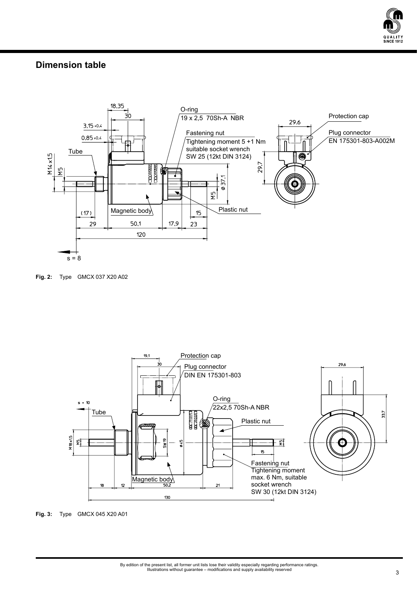

## **Dimension table**



**Fig. 2:** Type GMCX 037 X20 A02



**Fig. 3:** Type GMCX 045 X20 A01